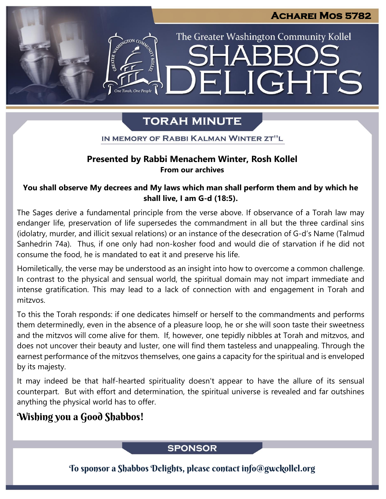The Greater Washington Community Kollel

ELIGHTS

# **TORAH MINUTE**

IN MEMORY OF RABBI KALMAN WINTER ZT"L

# Presented by Rabbi Menachem Winter, Rosh Kollel **From our archives**

## **You shall observe My decrees and My laws which man shall perform them and by which he shall live, I am G-d (18:5).**

The Sages derive a fundamental principle from the verse above. If observance of a Torah law may endanger life, preservation of life supersedes the commandment in all but the three cardinal sins (idolatry, murder, and illicit sexual relations) or an instance of the desecration of G-d's Name (Talmud Sanhedrin 74a). Thus, if one only had non-kosher food and would die of starvation if he did not consume the food, he is mandated to eat it and preserve his life.

Homiletically, the verse may be understood as an insight into how to overcome a common challenge. In contrast to the physical and sensual world, the spiritual domain may not impart immediate and intense gratification. This may lead to a lack of connection with and engagement in Torah and mitzvos.

To this the Torah responds: if one dedicates himself or herself to the commandments and performs them determinedly, even in the absence of a pleasure loop, he or she will soon taste their sweetness and the mitzvos will come alive for them. If, however, one tepidly nibbles at Torah and mitzvos, and does not uncover their beauty and luster, one will find them tasteless and unappealing. Through the earnest performance of the mitzvos themselves, one gains a capacity for the spiritual and is enveloped by its majesty.

It may indeed be that half-hearted spirituality doesn't appear to have the allure of its sensual counterpart. But with effort and determination, the spiritual universe is revealed and far outshines anything the physical world has to offer.

# Wishing you a Good Shabbos!

# **SPONSOR**

To sponsor a Shabbos Delights, please contact info@gwckollel.org